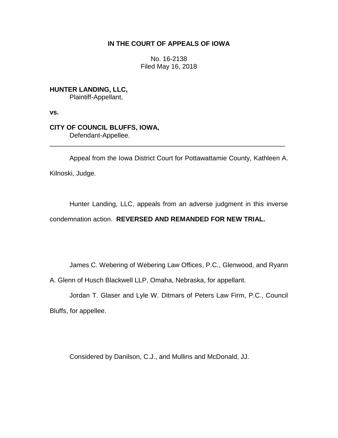## **IN THE COURT OF APPEALS OF IOWA**

No. 16-2138 Filed May 16, 2018

**HUNTER LANDING, LLC,** Plaintiff-Appellant,

**vs.**

# **CITY OF COUNCIL BLUFFS, IOWA,**

Defendant-Appellee.

Appeal from the Iowa District Court for Pottawattamie County, Kathleen A. Kilnoski, Judge.

\_\_\_\_\_\_\_\_\_\_\_\_\_\_\_\_\_\_\_\_\_\_\_\_\_\_\_\_\_\_\_\_\_\_\_\_\_\_\_\_\_\_\_\_\_\_\_\_\_\_\_\_\_\_\_\_\_\_\_\_\_\_\_\_

Hunter Landing, LLC, appeals from an adverse judgment in this inverse condemnation action. **REVERSED AND REMANDED FOR NEW TRIAL.**

James C. Webering of Webering Law Offices, P.C., Glenwood, and Ryann

A. Glenn of Husch Blackwell LLP, Omaha, Nebraska, for appellant.

Jordan T. Glaser and Lyle W. Ditmars of Peters Law Firm, P.C., Council Bluffs, for appellee.

Considered by Danilson, C.J., and Mullins and McDonald, JJ.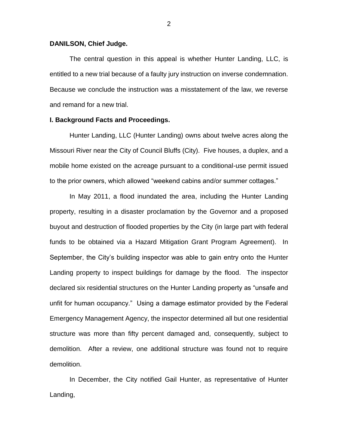#### **DANILSON, Chief Judge.**

The central question in this appeal is whether Hunter Landing, LLC, is entitled to a new trial because of a faulty jury instruction on inverse condemnation. Because we conclude the instruction was a misstatement of the law, we reverse and remand for a new trial.

#### **I. Background Facts and Proceedings.**

Hunter Landing, LLC (Hunter Landing) owns about twelve acres along the Missouri River near the City of Council Bluffs (City). Five houses, a duplex, and a mobile home existed on the acreage pursuant to a conditional-use permit issued to the prior owners, which allowed "weekend cabins and/or summer cottages."

In May 2011, a flood inundated the area, including the Hunter Landing property, resulting in a disaster proclamation by the Governor and a proposed buyout and destruction of flooded properties by the City (in large part with federal funds to be obtained via a Hazard Mitigation Grant Program Agreement). In September, the City's building inspector was able to gain entry onto the Hunter Landing property to inspect buildings for damage by the flood. The inspector declared six residential structures on the Hunter Landing property as "unsafe and unfit for human occupancy." Using a damage estimator provided by the Federal Emergency Management Agency, the inspector determined all but one residential structure was more than fifty percent damaged and, consequently, subject to demolition. After a review, one additional structure was found not to require demolition.

In December, the City notified Gail Hunter, as representative of Hunter Landing,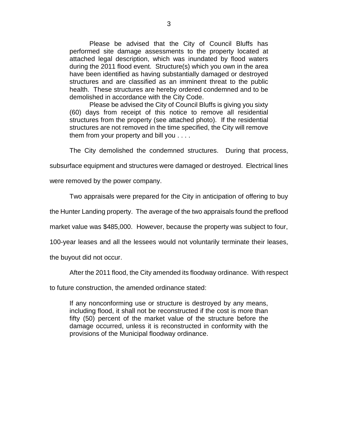Please be advised that the City of Council Bluffs has performed site damage assessments to the property located at attached legal description, which was inundated by flood waters during the 2011 flood event. Structure(s) which you own in the area have been identified as having substantially damaged or destroyed structures and are classified as an imminent threat to the public health. These structures are hereby ordered condemned and to be demolished in accordance with the City Code.

Please be advised the City of Council Bluffs is giving you sixty (60) days from receipt of this notice to remove all residential structures from the property (see attached photo). If the residential structures are not removed in the time specified, the City will remove them from your property and bill you . . . .

The City demolished the condemned structures. During that process,

subsurface equipment and structures were damaged or destroyed. Electrical lines

were removed by the power company.

Two appraisals were prepared for the City in anticipation of offering to buy

the Hunter Landing property. The average of the two appraisals found the preflood

market value was \$485,000. However, because the property was subject to four,

100-year leases and all the lessees would not voluntarily terminate their leases,

the buyout did not occur.

After the 2011 flood, the City amended its floodway ordinance. With respect

to future construction, the amended ordinance stated:

If any nonconforming use or structure is destroyed by any means, including flood, it shall not be reconstructed if the cost is more than fifty (50) percent of the market value of the structure before the damage occurred, unless it is reconstructed in conformity with the provisions of the Municipal floodway ordinance.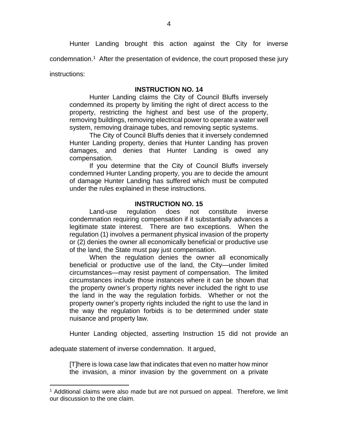Hunter Landing brought this action against the City for inverse

condemnation. 1 After the presentation of evidence, the court proposed these jury

instructions:

 $\overline{a}$ 

## **INSTRUCTION NO. 14**

Hunter Landing claims the City of Council Bluffs inversely condemned its property by limiting the right of direct access to the property, restricting the highest and best use of the property, removing buildings, removing electrical power to operate a water well system, removing drainage tubes, and removing septic systems.

The City of Council Bluffs denies that it inversely condemned Hunter Landing property, denies that Hunter Landing has proven damages, and denies that Hunter Landing is owed any compensation.

If you determine that the City of Council Bluffs inversely condemned Hunter Landing property, you are to decide the amount of damage Hunter Landing has suffered which must be computed under the rules explained in these instructions.

## **INSTRUCTION NO. 15**

Land-use regulation does not constitute inverse condemnation requiring compensation if it substantially advances a legitimate state interest. There are two exceptions. When the regulation (1) involves a permanent physical invasion of the property or (2) denies the owner all economically beneficial or productive use of the land, the State must pay just compensation.

When the regulation denies the owner all economically beneficial or productive use of the land, the City—under limited circumstances—may resist payment of compensation. The limited circumstances include those instances where it can be shown that the property owner's property rights never included the right to use the land in the way the regulation forbids. Whether or not the property owner's property rights included the right to use the land in the way the regulation forbids is to be determined under state nuisance and property law.

Hunter Landing objected, asserting Instruction 15 did not provide an

adequate statement of inverse condemnation. It argued,

[T]here is Iowa case law that indicates that even no matter how minor the invasion, a minor invasion by the government on a private

<sup>&</sup>lt;sup>1</sup> Additional claims were also made but are not pursued on appeal. Therefore, we limit our discussion to the one claim.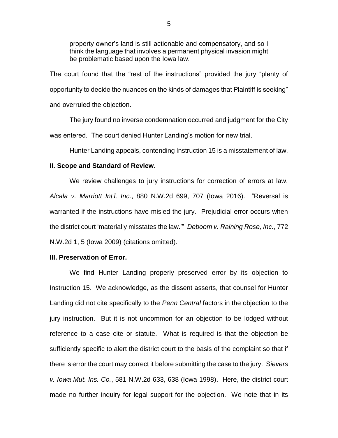property owner's land is still actionable and compensatory, and so I think the language that involves a permanent physical invasion might be problematic based upon the Iowa law.

The court found that the "rest of the instructions" provided the jury "plenty of opportunity to decide the nuances on the kinds of damages that Plaintiff is seeking" and overruled the objection.

The jury found no inverse condemnation occurred and judgment for the City was entered. The court denied Hunter Landing's motion for new trial.

Hunter Landing appeals, contending Instruction 15 is a misstatement of law.

#### **II. Scope and Standard of Review.**

We review challenges to jury instructions for correction of errors at law. *Alcala v. Marriott Int'l, Inc.*, 880 N.W.2d 699, 707 (Iowa 2016). "Reversal is warranted if the instructions have misled the jury. Prejudicial error occurs when the district court 'materially misstates the law.'" *Deboom v. Raining Rose, Inc.*, 772 N.W.2d 1, 5 (Iowa 2009) (citations omitted).

#### **III. Preservation of Error.**

We find Hunter Landing properly preserved error by its objection to Instruction 15. We acknowledge, as the dissent asserts, that counsel for Hunter Landing did not cite specifically to the *Penn Central* factors in the objection to the jury instruction. But it is not uncommon for an objection to be lodged without reference to a case cite or statute. What is required is that the objection be sufficiently specific to alert the district court to the basis of the complaint so that if there is error the court may correct it before submitting the case to the jury. S*ievers v. Iowa Mut. Ins. Co.*, 581 N.W.2d 633, 638 (Iowa 1998). Here, the district court made no further inquiry for legal support for the objection. We note that in its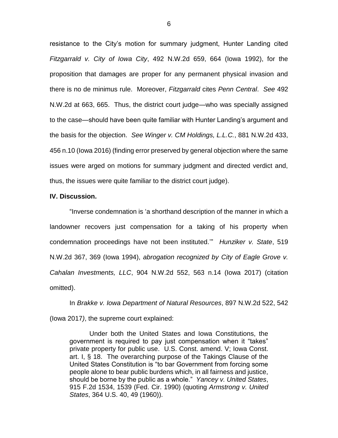resistance to the City's motion for summary judgment, Hunter Landing cited *Fitzgarrald v. City of Iowa City*, 492 N.W.2d 659, 664 (Iowa 1992), for the proposition that damages are proper for any permanent physical invasion and there is no de minimus rule. Moreover, *Fitzgarrald* cites *Penn Central*. *See* 492 N.W.2d at 663, 665. Thus, the district court judge—who was specially assigned to the case—should have been quite familiar with Hunter Landing's argument and the basis for the objection. *See Winger v. CM Holdings, L.L.C.*, 881 N.W.2d 433, 456 n.10 (Iowa 2016) (finding error preserved by general objection where the same issues were arged on motions for summary judgment and directed verdict and, thus, the issues were quite familiar to the district court judge).

#### **IV. Discussion.**

"Inverse condemnation is 'a shorthand description of the manner in which a landowner recovers just compensation for a taking of his property when condemnation proceedings have not been instituted.'" *Hunziker v. State*, 519 N.W.2d 367, 369 (Iowa 1994), *abrogation recognized by City of Eagle Grove v. Cahalan Investments, LLC*, 904 N.W.2d 552, 563 n.14 (Iowa 2017) (citation omitted).

In *Brakke v. Iowa Department of Natural Resources*, 897 N.W.2d 522, 542 (Iowa 2017*)*, the supreme court explained:

Under both the United States and Iowa Constitutions, the government is required to pay just compensation when it "takes" private property for public use. U.S. Const. amend. V; Iowa Const. art. I, § 18. The overarching purpose of the Takings Clause of the United States Constitution is "to bar Government from forcing some people alone to bear public burdens which, in all fairness and justice, should be borne by the public as a whole." *Yancey v. United States*, 915 F.2d 1534, 1539 (Fed. Cir. 1990) (quoting *Armstrong v. United States*, 364 U.S. 40, 49 (1960)).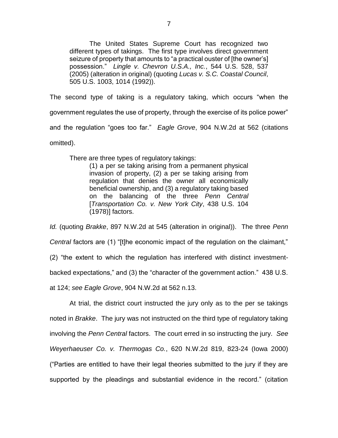The United States Supreme Court has recognized two different types of takings. The first type involves direct government seizure of property that amounts to "a practical ouster of [the owner's] possession." *Lingle v. Chevron U.S.A., Inc.*, 544 U.S. 528, 537 (2005) (alteration in original) (quoting *Lucas v. S.C. Coastal Council*, 505 U.S. 1003, 1014 (1992)).

The second type of taking is a regulatory taking, which occurs "when the government regulates the use of property, through the exercise of its police power" and the regulation "goes too far." *Eagle Grove*, 904 N.W.2d at 562 (citations omitted).

There are three types of regulatory takings:

(1) a per se taking arising from a permanent physical invasion of property, (2) a per se taking arising from regulation that denies the owner all economically beneficial ownership, and (3) a regulatory taking based on the balancing of the three *Penn Central* [*Transportation Co. v. New York City*, 438 U.S. 104 (1978)] factors.

*Id.* (quoting *Brakke*, 897 N.W.2d at 545 (alteration in original)). The three *Penn Central* factors are (1) "[t]he economic impact of the regulation on the claimant," (2) "the extent to which the regulation has interfered with distinct investmentbacked expectations," and (3) the "character of the government action." 438 U.S. at 124; *see Eagle Grove*, 904 N.W.2d at 562 n.13.

At trial, the district court instructed the jury only as to the per se takings noted in *Brakke*. The jury was not instructed on the third type of regulatory taking involving the *Penn Central* factors. The court erred in so instructing the jury. *See Weyerhaeuser Co. v. Thermogas Co.*, 620 N.W.2d 819, 823-24 (Iowa 2000) ("Parties are entitled to have their legal theories submitted to the jury if they are supported by the pleadings and substantial evidence in the record." (citation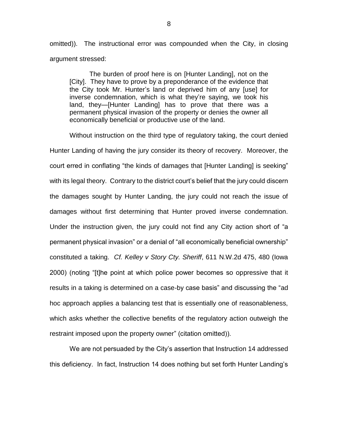omitted)). The instructional error was compounded when the City, in closing argument stressed:

The burden of proof here is on [Hunter Landing], not on the [City]. They have to prove by a preponderance of the evidence that the City took Mr. Hunter's land or deprived him of any [use] for inverse condemnation, which is what they're saying, we took his land, they—[Hunter Landing] has to prove that there was a permanent physical invasion of the property or denies the owner all economically beneficial or productive use of the land.

Without instruction on the third type of regulatory taking, the court denied Hunter Landing of having the jury consider its theory of recovery. Moreover, the court erred in conflating "the kinds of damages that [Hunter Landing] is seeking" with its legal theory. Contrary to the district court's belief that the jury could discern the damages sought by Hunter Landing, the jury could not reach the issue of damages without first determining that Hunter proved inverse condemnation. Under the instruction given, the jury could not find any City action short of "a permanent physical invasion" or a denial of "all economically beneficial ownership" constituted a taking. *Cf. Kelley v Story Cty. Sheriff*, 611 N.W.2d 475, 480 (Iowa 2000) (noting "[t]he point at which police power becomes so oppressive that it results in a taking is determined on a case-by case basis" and discussing the "ad hoc approach applies a balancing test that is essentially one of reasonableness, which asks whether the collective benefits of the regulatory action outweigh the restraint imposed upon the property owner" (citation omitted)).

We are not persuaded by the City's assertion that Instruction 14 addressed this deficiency. In fact, Instruction 14 does nothing but set forth Hunter Landing's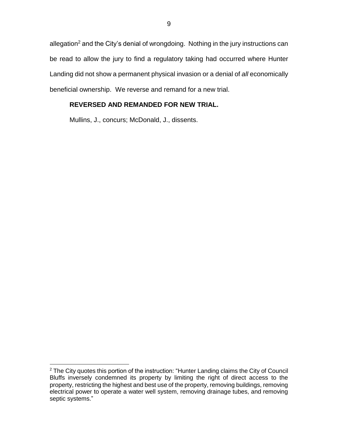allegation<sup>2</sup> and the City's denial of wrongdoing. Nothing in the jury instructions can be read to allow the jury to find a regulatory taking had occurred where Hunter Landing did not show a permanent physical invasion or a denial of *all* economically beneficial ownership. We reverse and remand for a new trial.

## **REVERSED AND REMANDED FOR NEW TRIAL.**

Mullins, J., concurs; McDonald, J., dissents.

 $\overline{a}$ 

 $2$  The City quotes this portion of the instruction: "Hunter Landing claims the City of Council Bluffs inversely condemned its property by limiting the right of direct access to the property, restricting the highest and best use of the property, removing buildings, removing electrical power to operate a water well system, removing drainage tubes, and removing septic systems."